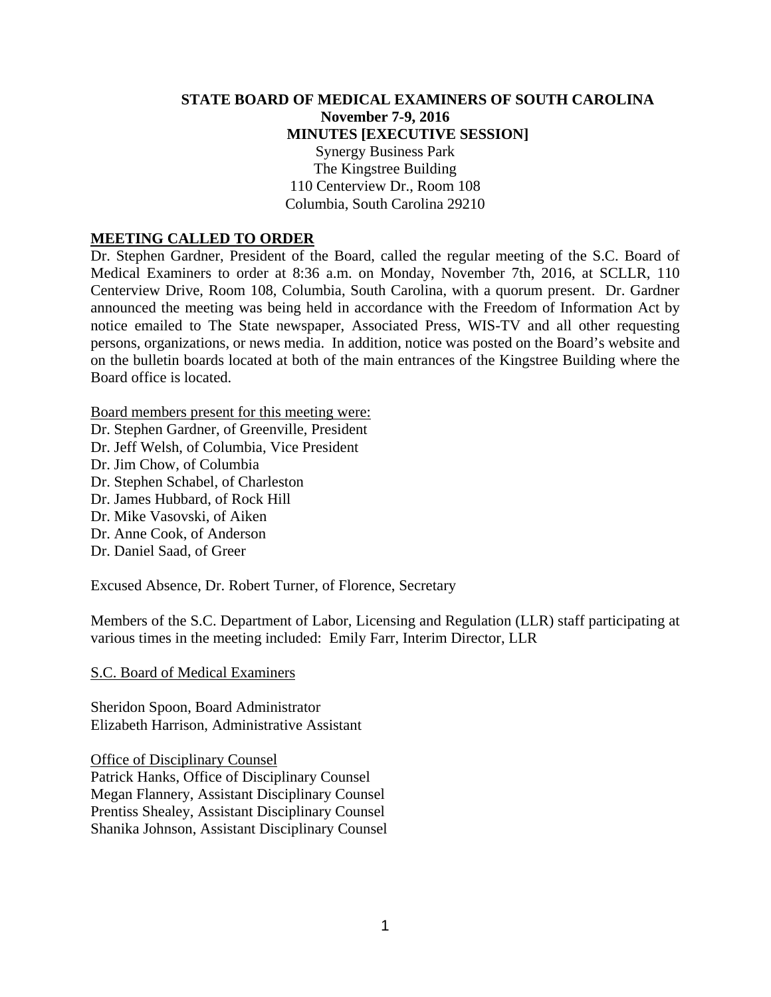## **STATE BOARD OF MEDICAL EXAMINERS OF SOUTH CAROLINA November 7-9, 2016 MINUTES [EXECUTIVE SESSION]**  Synergy Business Park The Kingstree Building 110 Centerview Dr., Room 108 Columbia, South Carolina 29210

#### **MEETING CALLED TO ORDER**

Dr. Stephen Gardner, President of the Board, called the regular meeting of the S.C. Board of Medical Examiners to order at 8:36 a.m. on Monday, November 7th, 2016, at SCLLR, 110 Centerview Drive, Room 108, Columbia, South Carolina, with a quorum present. Dr. Gardner announced the meeting was being held in accordance with the Freedom of Information Act by notice emailed to The State newspaper, Associated Press, WIS-TV and all other requesting persons, organizations, or news media. In addition, notice was posted on the Board's website and on the bulletin boards located at both of the main entrances of the Kingstree Building where the Board office is located.

Board members present for this meeting were:

Dr. Stephen Gardner, of Greenville, President Dr. Jeff Welsh, of Columbia, Vice President Dr. Jim Chow, of Columbia Dr. Stephen Schabel, of Charleston Dr. James Hubbard, of Rock Hill Dr. Mike Vasovski, of Aiken Dr. Anne Cook, of Anderson Dr. Daniel Saad, of Greer

Excused Absence, Dr. Robert Turner, of Florence, Secretary

Members of the S.C. Department of Labor, Licensing and Regulation (LLR) staff participating at various times in the meeting included: Emily Farr, Interim Director, LLR

S.C. Board of Medical Examiners

Sheridon Spoon, Board Administrator Elizabeth Harrison, Administrative Assistant

Office of Disciplinary Counsel Patrick Hanks, Office of Disciplinary Counsel Megan Flannery, Assistant Disciplinary Counsel Prentiss Shealey, Assistant Disciplinary Counsel Shanika Johnson, Assistant Disciplinary Counsel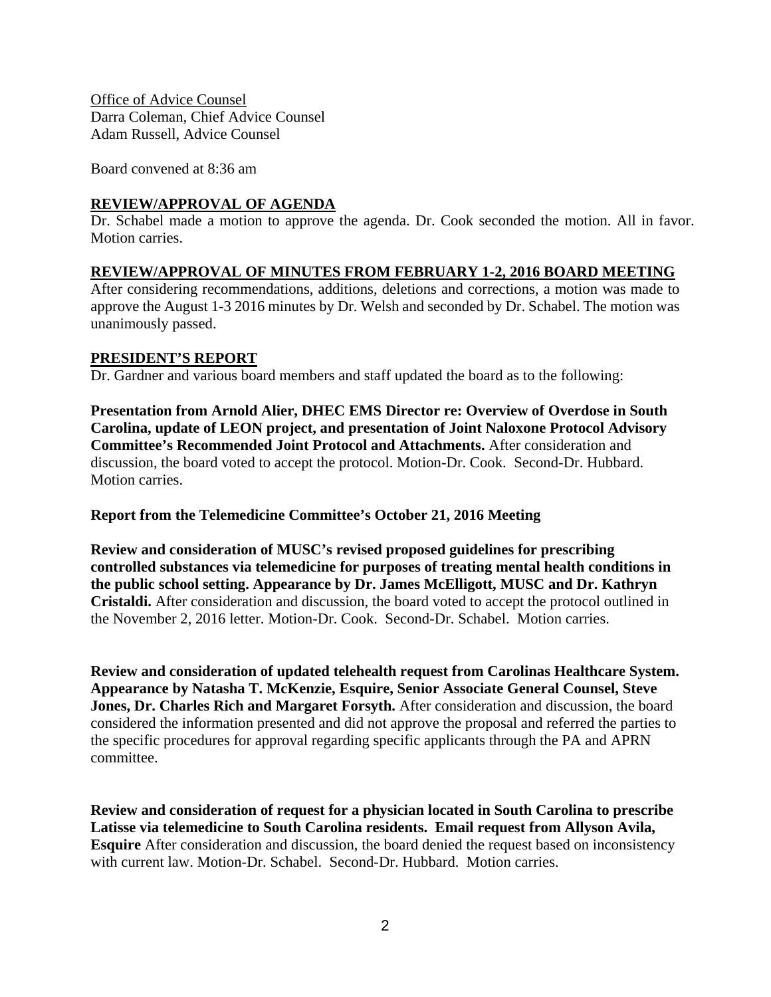Office of Advice Counsel Darra Coleman, Chief Advice Counsel Adam Russell, Advice Counsel

Board convened at 8:36 am

# **REVIEW/APPROVAL OF AGENDA**

Dr. Schabel made a motion to approve the agenda. Dr. Cook seconded the motion. All in favor. Motion carries.

# **REVIEW/APPROVAL OF MINUTES FROM FEBRUARY 1-2, 2016 BOARD MEETING**

After considering recommendations, additions, deletions and corrections, a motion was made to approve the August 1-3 2016 minutes by Dr. Welsh and seconded by Dr. Schabel. The motion was unanimously passed.

## **PRESIDENT'S REPORT**

Dr. Gardner and various board members and staff updated the board as to the following:

**Presentation from Arnold Alier, DHEC EMS Director re: Overview of Overdose in South Carolina, update of LEON project, and presentation of Joint Naloxone Protocol Advisory Committee's Recommended Joint Protocol and Attachments.** After consideration and discussion, the board voted to accept the protocol. Motion-Dr. Cook. Second-Dr. Hubbard. Motion carries.

# **Report from the Telemedicine Committee's October 21, 2016 Meeting**

**Review and consideration of MUSC's revised proposed guidelines for prescribing controlled substances via telemedicine for purposes of treating mental health conditions in the public school setting. Appearance by Dr. James McElligott, MUSC and Dr. Kathryn Cristaldi.** After consideration and discussion, the board voted to accept the protocol outlined in the November 2, 2016 letter. Motion-Dr. Cook. Second-Dr. Schabel. Motion carries.

**Review and consideration of updated telehealth request from Carolinas Healthcare System. Appearance by Natasha T. McKenzie, Esquire, Senior Associate General Counsel, Steve Jones, Dr. Charles Rich and Margaret Forsyth.** After consideration and discussion, the board considered the information presented and did not approve the proposal and referred the parties to the specific procedures for approval regarding specific applicants through the PA and APRN committee.

**Review and consideration of request for a physician located in South Carolina to prescribe Latisse via telemedicine to South Carolina residents. Email request from Allyson Avila, Esquire** After consideration and discussion, the board denied the request based on inconsistency with current law. Motion-Dr. Schabel. Second-Dr. Hubbard. Motion carries.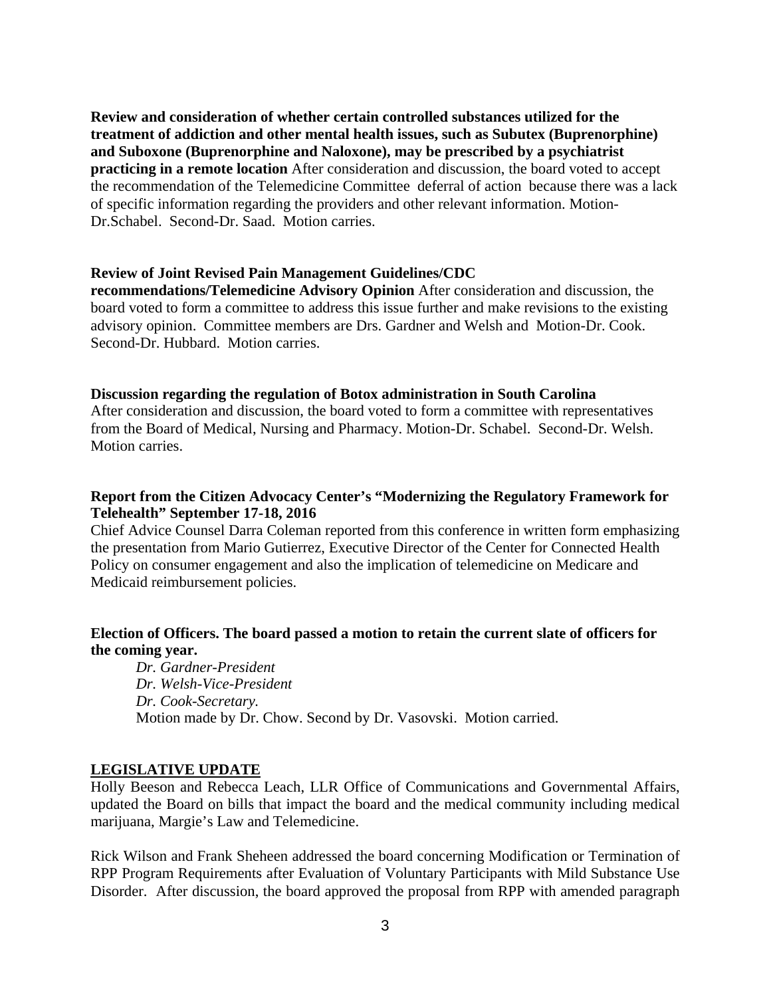**Review and consideration of whether certain controlled substances utilized for the treatment of addiction and other mental health issues, such as Subutex (Buprenorphine) and Suboxone (Buprenorphine and Naloxone), may be prescribed by a psychiatrist practicing in a remote location** After consideration and discussion, the board voted to accept the recommendation of the Telemedicine Committee deferral of action because there was a lack of specific information regarding the providers and other relevant information. Motion-Dr.Schabel. Second-Dr. Saad. Motion carries.

#### **Review of Joint Revised Pain Management Guidelines/CDC**

**recommendations/Telemedicine Advisory Opinion** After consideration and discussion, the board voted to form a committee to address this issue further and make revisions to the existing advisory opinion. Committee members are Drs. Gardner and Welsh and Motion-Dr. Cook. Second-Dr. Hubbard. Motion carries.

#### **Discussion regarding the regulation of Botox administration in South Carolina**

After consideration and discussion, the board voted to form a committee with representatives from the Board of Medical, Nursing and Pharmacy. Motion-Dr. Schabel. Second-Dr. Welsh. Motion carries.

#### **Report from the Citizen Advocacy Center's "Modernizing the Regulatory Framework for Telehealth" September 17-18, 2016**

Chief Advice Counsel Darra Coleman reported from this conference in written form emphasizing the presentation from Mario Gutierrez, Executive Director of the Center for Connected Health Policy on consumer engagement and also the implication of telemedicine on Medicare and Medicaid reimbursement policies.

## **Election of Officers. The board passed a motion to retain the current slate of officers for the coming year.**

 *Dr. Gardner-President Dr. Welsh-Vice-President Dr. Cook-Secretary.*  Motion made by Dr. Chow. Second by Dr. Vasovski. Motion carried.

#### **LEGISLATIVE UPDATE**

Holly Beeson and Rebecca Leach, LLR Office of Communications and Governmental Affairs, updated the Board on bills that impact the board and the medical community including medical marijuana, Margie's Law and Telemedicine.

Rick Wilson and Frank Sheheen addressed the board concerning Modification or Termination of RPP Program Requirements after Evaluation of Voluntary Participants with Mild Substance Use Disorder. After discussion, the board approved the proposal from RPP with amended paragraph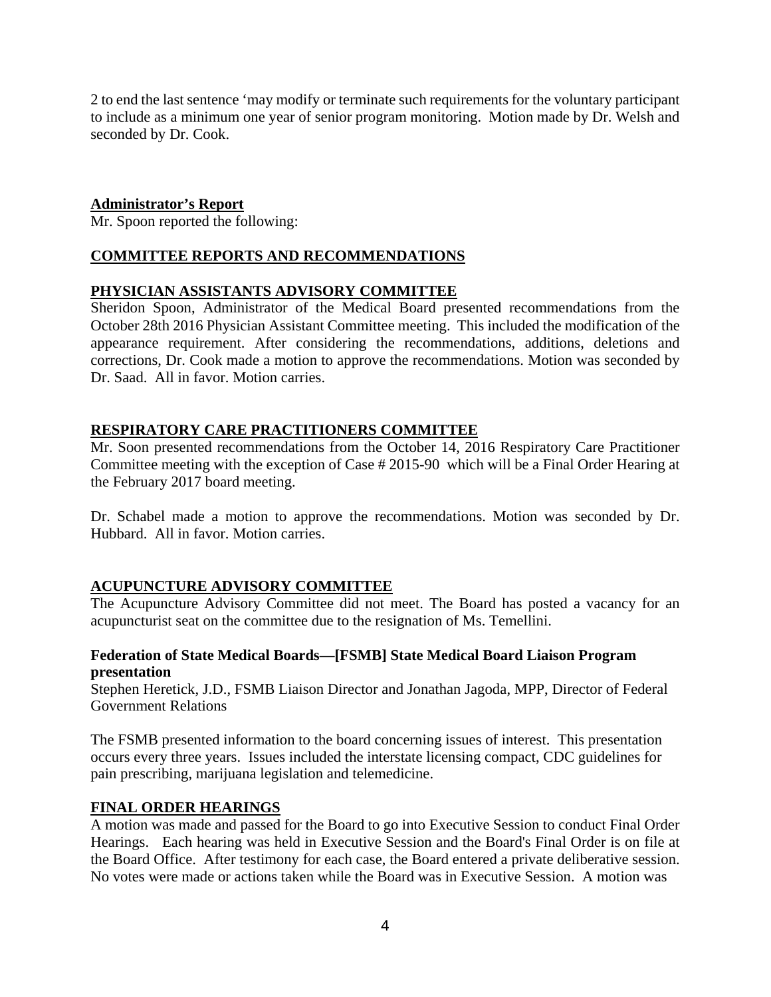2 to end the last sentence 'may modify or terminate such requirements for the voluntary participant to include as a minimum one year of senior program monitoring. Motion made by Dr. Welsh and seconded by Dr. Cook.

# **Administrator's Report**

Mr. Spoon reported the following:

# **COMMITTEE REPORTS AND RECOMMENDATIONS**

# **PHYSICIAN ASSISTANTS ADVISORY COMMITTEE**

Sheridon Spoon, Administrator of the Medical Board presented recommendations from the October 28th 2016 Physician Assistant Committee meeting. This included the modification of the appearance requirement. After considering the recommendations, additions, deletions and corrections, Dr. Cook made a motion to approve the recommendations. Motion was seconded by Dr. Saad. All in favor. Motion carries.

# **RESPIRATORY CARE PRACTITIONERS COMMITTEE**

Mr. Soon presented recommendations from the October 14, 2016 Respiratory Care Practitioner Committee meeting with the exception of Case # 2015-90 which will be a Final Order Hearing at the February 2017 board meeting.

Dr. Schabel made a motion to approve the recommendations. Motion was seconded by Dr. Hubbard. All in favor. Motion carries.

# **ACUPUNCTURE ADVISORY COMMITTEE**

The Acupuncture Advisory Committee did not meet. The Board has posted a vacancy for an acupuncturist seat on the committee due to the resignation of Ms. Temellini.

## **Federation of State Medical Boards—[FSMB] State Medical Board Liaison Program presentation**

Stephen Heretick, J.D., FSMB Liaison Director and Jonathan Jagoda, MPP, Director of Federal Government Relations

The FSMB presented information to the board concerning issues of interest. This presentation occurs every three years. Issues included the interstate licensing compact, CDC guidelines for pain prescribing, marijuana legislation and telemedicine.

#### **FINAL ORDER HEARINGS**

A motion was made and passed for the Board to go into Executive Session to conduct Final Order Hearings. Each hearing was held in Executive Session and the Board's Final Order is on file at the Board Office. After testimony for each case, the Board entered a private deliberative session. No votes were made or actions taken while the Board was in Executive Session. A motion was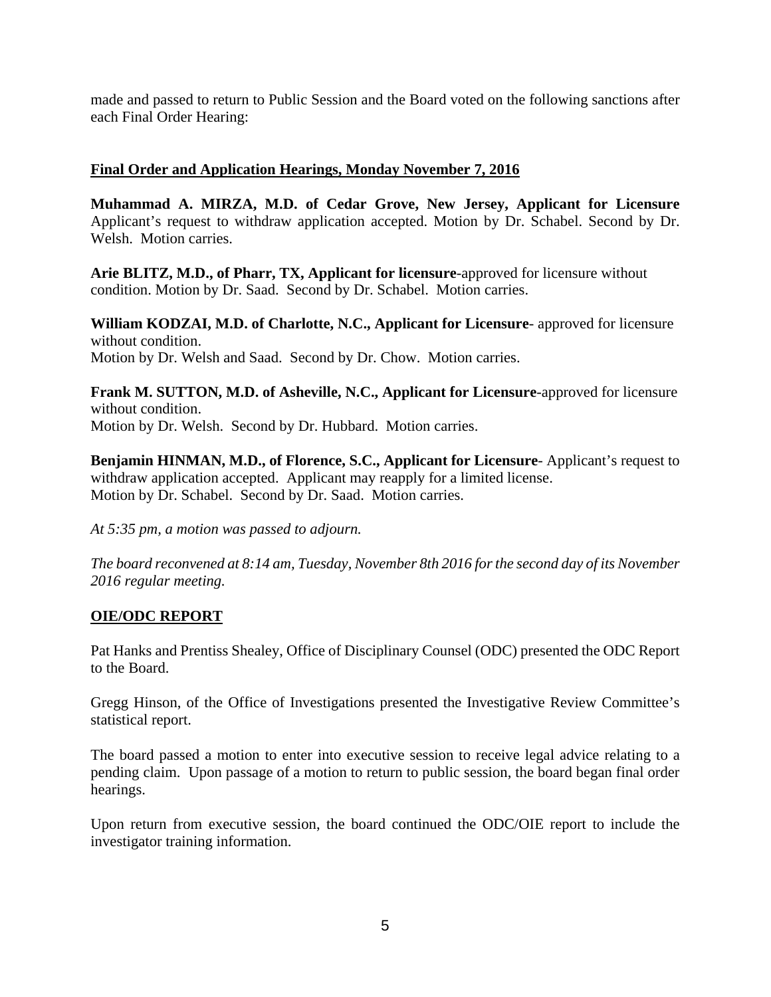made and passed to return to Public Session and the Board voted on the following sanctions after each Final Order Hearing:

# **Final Order and Application Hearings, Monday November 7, 2016**

**Muhammad A. MIRZA, M.D. of Cedar Grove, New Jersey, Applicant for Licensure** Applicant's request to withdraw application accepted. Motion by Dr. Schabel. Second by Dr. Welsh. Motion carries.

**Arie BLITZ, M.D., of Pharr, TX, Applicant for licensure**-approved for licensure without condition. Motion by Dr. Saad. Second by Dr. Schabel. Motion carries.

**William KODZAI, M.D. of Charlotte, N.C., Applicant for Licensure**- approved for licensure without condition. Motion by Dr. Welsh and Saad. Second by Dr. Chow. Motion carries.

**Frank M. SUTTON, M.D. of Asheville, N.C., Applicant for Licensure**-approved for licensure without condition. Motion by Dr. Welsh. Second by Dr. Hubbard. Motion carries.

**Benjamin HINMAN, M.D., of Florence, S.C., Applicant for Licensure**- Applicant's request to withdraw application accepted. Applicant may reapply for a limited license. Motion by Dr. Schabel. Second by Dr. Saad. Motion carries.

*At 5:35 pm, a motion was passed to adjourn.*

*The board reconvened at 8:14 am, Tuesday, November 8th 2016 for the second day of its November 2016 regular meeting.* 

# **OIE/ODC REPORT**

Pat Hanks and Prentiss Shealey, Office of Disciplinary Counsel (ODC) presented the ODC Report to the Board.

Gregg Hinson, of the Office of Investigations presented the Investigative Review Committee's statistical report.

The board passed a motion to enter into executive session to receive legal advice relating to a pending claim. Upon passage of a motion to return to public session, the board began final order hearings.

Upon return from executive session, the board continued the ODC/OIE report to include the investigator training information.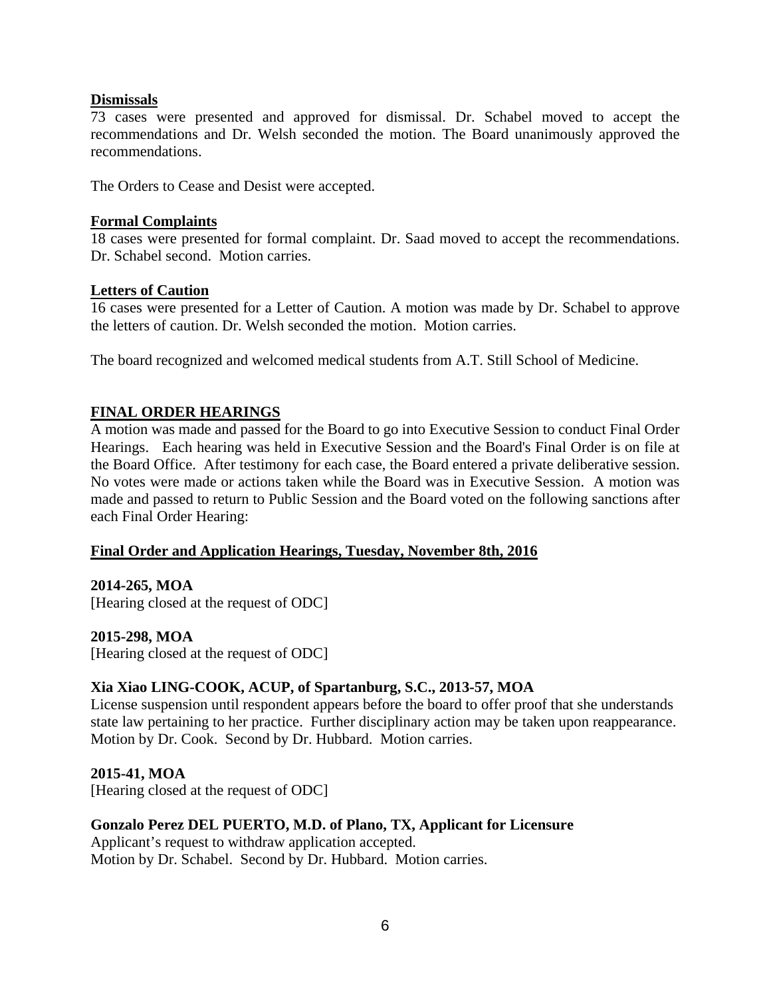## **Dismissals**

73 cases were presented and approved for dismissal. Dr. Schabel moved to accept the recommendations and Dr. Welsh seconded the motion. The Board unanimously approved the recommendations.

The Orders to Cease and Desist were accepted.

## **Formal Complaints**

18 cases were presented for formal complaint. Dr. Saad moved to accept the recommendations. Dr. Schabel second. Motion carries.

## **Letters of Caution**

16 cases were presented for a Letter of Caution. A motion was made by Dr. Schabel to approve the letters of caution. Dr. Welsh seconded the motion. Motion carries.

The board recognized and welcomed medical students from A.T. Still School of Medicine.

## **FINAL ORDER HEARINGS**

A motion was made and passed for the Board to go into Executive Session to conduct Final Order Hearings. Each hearing was held in Executive Session and the Board's Final Order is on file at the Board Office. After testimony for each case, the Board entered a private deliberative session. No votes were made or actions taken while the Board was in Executive Session. A motion was made and passed to return to Public Session and the Board voted on the following sanctions after each Final Order Hearing:

#### **Final Order and Application Hearings, Tuesday, November 8th, 2016**

# **2014-265, MOA**

[Hearing closed at the request of ODC]

#### **2015-298, MOA**

[Hearing closed at the request of ODC]

# **Xia Xiao LING-COOK, ACUP, of Spartanburg, S.C., 2013-57, MOA**

License suspension until respondent appears before the board to offer proof that she understands state law pertaining to her practice. Further disciplinary action may be taken upon reappearance. Motion by Dr. Cook. Second by Dr. Hubbard. Motion carries.

**2015-41, MOA**  [Hearing closed at the request of ODC]

# **Gonzalo Perez DEL PUERTO, M.D. of Plano, TX, Applicant for Licensure**

Applicant's request to withdraw application accepted. Motion by Dr. Schabel. Second by Dr. Hubbard. Motion carries.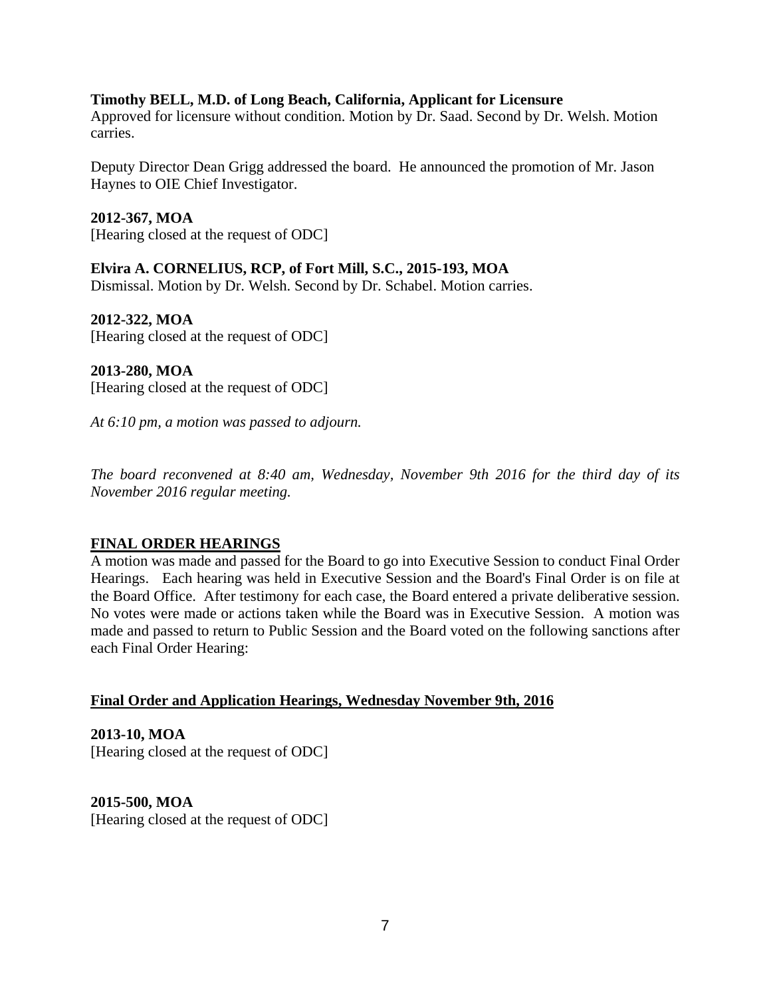#### **Timothy BELL, M.D. of Long Beach, California, Applicant for Licensure**

Approved for licensure without condition. Motion by Dr. Saad. Second by Dr. Welsh. Motion carries.

Deputy Director Dean Grigg addressed the board. He announced the promotion of Mr. Jason Haynes to OIE Chief Investigator.

**2012-367, MOA** 

[Hearing closed at the request of ODC]

**Elvira A. CORNELIUS, RCP, of Fort Mill, S.C., 2015-193, MOA**

Dismissal. Motion by Dr. Welsh. Second by Dr. Schabel. Motion carries.

**2012-322, MOA**  [Hearing closed at the request of ODC]

**2013-280, MOA**  [Hearing closed at the request of ODC]

*At 6:10 pm, a motion was passed to adjourn.*

*The board reconvened at 8:40 am, Wednesday, November 9th 2016 for the third day of its November 2016 regular meeting.* 

# **FINAL ORDER HEARINGS**

A motion was made and passed for the Board to go into Executive Session to conduct Final Order Hearings. Each hearing was held in Executive Session and the Board's Final Order is on file at the Board Office. After testimony for each case, the Board entered a private deliberative session. No votes were made or actions taken while the Board was in Executive Session. A motion was made and passed to return to Public Session and the Board voted on the following sanctions after each Final Order Hearing:

#### **Final Order and Application Hearings, Wednesday November 9th, 2016**

**2013-10, MOA**  [Hearing closed at the request of ODC]

**2015-500, MOA**  [Hearing closed at the request of ODC]